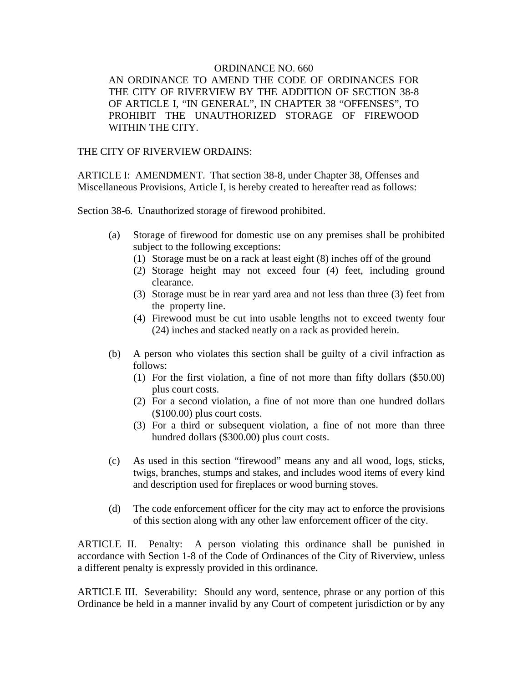## ORDINANCE NO. 660

AN ORDINANCE TO AMEND THE CODE OF ORDINANCES FOR THE CITY OF RIVERVIEW BY THE ADDITION OF SECTION 38-8 OF ARTICLE I, "IN GENERAL", IN CHAPTER 38 "OFFENSES", TO PROHIBIT THE UNAUTHORIZED STORAGE OF FIREWOOD WITHIN THE CITY.

## THE CITY OF RIVERVIEW ORDAINS:

ARTICLE I: AMENDMENT. That section 38-8, under Chapter 38, Offenses and Miscellaneous Provisions, Article I, is hereby created to hereafter read as follows:

Section 38-6. Unauthorized storage of firewood prohibited.

- (a) Storage of firewood for domestic use on any premises shall be prohibited subject to the following exceptions:
	- (1) Storage must be on a rack at least eight (8) inches off of the ground
	- (2) Storage height may not exceed four (4) feet, including ground clearance.
	- (3) Storage must be in rear yard area and not less than three (3) feet from the property line.
	- (4) Firewood must be cut into usable lengths not to exceed twenty four (24) inches and stacked neatly on a rack as provided herein.
- (b) A person who violates this section shall be guilty of a civil infraction as follows:
	- (1) For the first violation, a fine of not more than fifty dollars (\$50.00) plus court costs.
	- (2) For a second violation, a fine of not more than one hundred dollars (\$100.00) plus court costs.
	- (3) For a third or subsequent violation, a fine of not more than three hundred dollars (\$300.00) plus court costs.
- (c) As used in this section "firewood" means any and all wood, logs, sticks, twigs, branches, stumps and stakes, and includes wood items of every kind and description used for fireplaces or wood burning stoves.
- (d) The code enforcement officer for the city may act to enforce the provisions of this section along with any other law enforcement officer of the city.

ARTICLE II. Penalty: A person violating this ordinance shall be punished in accordance with Section 1-8 of the Code of Ordinances of the City of Riverview, unless a different penalty is expressly provided in this ordinance.

ARTICLE III. Severability: Should any word, sentence, phrase or any portion of this Ordinance be held in a manner invalid by any Court of competent jurisdiction or by any